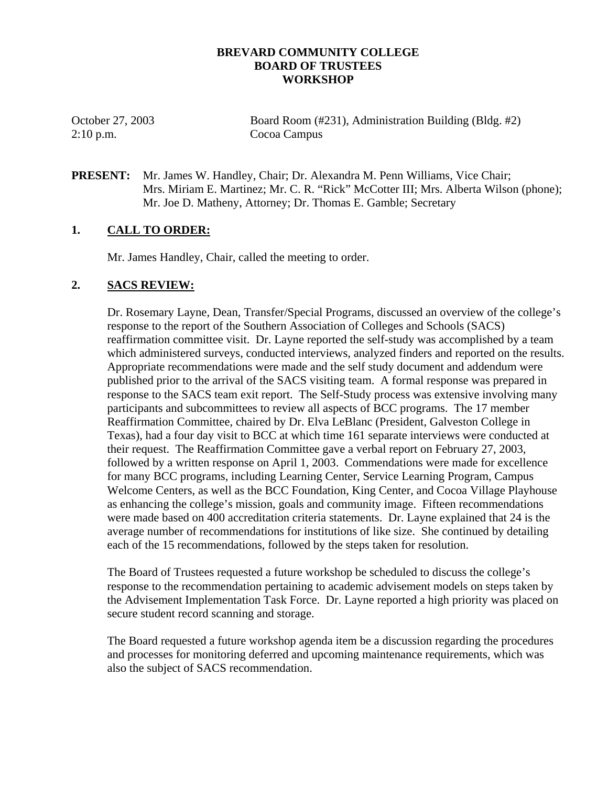### **BREVARD COMMUNITY COLLEGE BOARD OF TRUSTEES WORKSHOP**

2:10 p.m. Cocoa Campus

October 27, 2003 Board Room (#231), Administration Building (Bldg. #2)

**PRESENT:** Mr. James W. Handley, Chair; Dr. Alexandra M. Penn Williams, Vice Chair; Mrs. Miriam E. Martinez; Mr. C. R. "Rick" McCotter III; Mrs. Alberta Wilson (phone); Mr. Joe D. Matheny, Attorney; Dr. Thomas E. Gamble; Secretary

## **1. CALL TO ORDER:**

Mr. James Handley, Chair, called the meeting to order.

## **2. SACS REVIEW:**

Dr. Rosemary Layne, Dean, Transfer/Special Programs, discussed an overview of the college's response to the report of the Southern Association of Colleges and Schools (SACS) reaffirmation committee visit. Dr. Layne reported the self-study was accomplished by a team which administered surveys, conducted interviews, analyzed finders and reported on the results. Appropriate recommendations were made and the self study document and addendum were published prior to the arrival of the SACS visiting team. A formal response was prepared in response to the SACS team exit report. The Self-Study process was extensive involving many participants and subcommittees to review all aspects of BCC programs. The 17 member Reaffirmation Committee, chaired by Dr. Elva LeBlanc (President, Galveston College in Texas), had a four day visit to BCC at which time 161 separate interviews were conducted at their request. The Reaffirmation Committee gave a verbal report on February 27, 2003, followed by a written response on April 1, 2003. Commendations were made for excellence for many BCC programs, including Learning Center, Service Learning Program, Campus Welcome Centers, as well as the BCC Foundation, King Center, and Cocoa Village Playhouse as enhancing the college's mission, goals and community image. Fifteen recommendations were made based on 400 accreditation criteria statements. Dr. Layne explained that 24 is the average number of recommendations for institutions of like size. She continued by detailing each of the 15 recommendations, followed by the steps taken for resolution.

The Board of Trustees requested a future workshop be scheduled to discuss the college's response to the recommendation pertaining to academic advisement models on steps taken by the Advisement Implementation Task Force. Dr. Layne reported a high priority was placed on secure student record scanning and storage.

The Board requested a future workshop agenda item be a discussion regarding the procedures and processes for monitoring deferred and upcoming maintenance requirements, which was also the subject of SACS recommendation.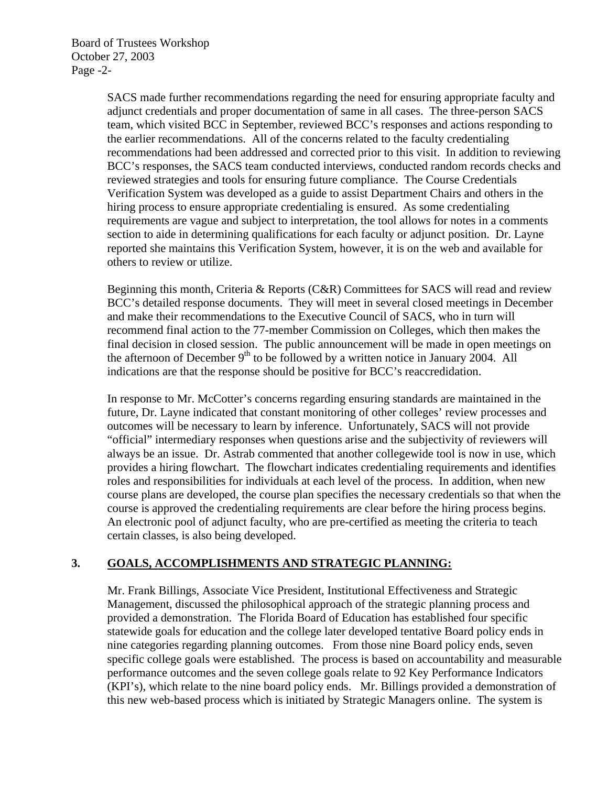Board of Trustees Workshop October 27, 2003 Page -2-

> SACS made further recommendations regarding the need for ensuring appropriate faculty and adjunct credentials and proper documentation of same in all cases. The three-person SACS team, which visited BCC in September, reviewed BCC's responses and actions responding to the earlier recommendations. All of the concerns related to the faculty credentialing recommendations had been addressed and corrected prior to this visit. In addition to reviewing BCC's responses, the SACS team conducted interviews, conducted random records checks and reviewed strategies and tools for ensuring future compliance. The Course Credentials Verification System was developed as a guide to assist Department Chairs and others in the hiring process to ensure appropriate credentialing is ensured. As some credentialing requirements are vague and subject to interpretation, the tool allows for notes in a comments section to aide in determining qualifications for each faculty or adjunct position. Dr. Layne reported she maintains this Verification System, however, it is on the web and available for others to review or utilize.

Beginning this month, Criteria & Reports (C&R) Committees for SACS will read and review BCC's detailed response documents. They will meet in several closed meetings in December and make their recommendations to the Executive Council of SACS, who in turn will recommend final action to the 77-member Commission on Colleges, which then makes the final decision in closed session. The public announcement will be made in open meetings on the afternoon of December  $9<sup>th</sup>$  to be followed by a written notice in January 2004. All indications are that the response should be positive for BCC's reaccredidation.

In response to Mr. McCotter's concerns regarding ensuring standards are maintained in the future, Dr. Layne indicated that constant monitoring of other colleges' review processes and outcomes will be necessary to learn by inference. Unfortunately, SACS will not provide "official" intermediary responses when questions arise and the subjectivity of reviewers will always be an issue. Dr. Astrab commented that another collegewide tool is now in use, which provides a hiring flowchart. The flowchart indicates credentialing requirements and identifies roles and responsibilities for individuals at each level of the process. In addition, when new course plans are developed, the course plan specifies the necessary credentials so that when the course is approved the credentialing requirements are clear before the hiring process begins. An electronic pool of adjunct faculty, who are pre-certified as meeting the criteria to teach certain classes, is also being developed.

## **3. GOALS, ACCOMPLISHMENTS AND STRATEGIC PLANNING:**

Mr. Frank Billings, Associate Vice President, Institutional Effectiveness and Strategic Management, discussed the philosophical approach of the strategic planning process and provided a demonstration. The Florida Board of Education has established four specific statewide goals for education and the college later developed tentative Board policy ends in nine categories regarding planning outcomes. From those nine Board policy ends, seven specific college goals were established. The process is based on accountability and measurable performance outcomes and the seven college goals relate to 92 Key Performance Indicators (KPI's), which relate to the nine board policy ends. Mr. Billings provided a demonstration of this new web-based process which is initiated by Strategic Managers online. The system is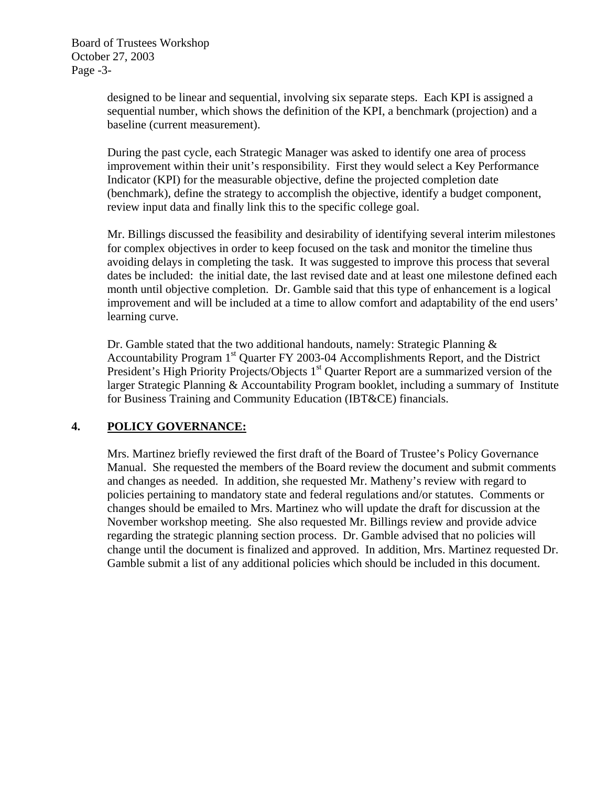Board of Trustees Workshop October 27, 2003 Page -3-

> designed to be linear and sequential, involving six separate steps. Each KPI is assigned a sequential number, which shows the definition of the KPI, a benchmark (projection) and a baseline (current measurement).

> During the past cycle, each Strategic Manager was asked to identify one area of process improvement within their unit's responsibility. First they would select a Key Performance Indicator (KPI) for the measurable objective, define the projected completion date (benchmark), define the strategy to accomplish the objective, identify a budget component, review input data and finally link this to the specific college goal.

Mr. Billings discussed the feasibility and desirability of identifying several interim milestones for complex objectives in order to keep focused on the task and monitor the timeline thus avoiding delays in completing the task. It was suggested to improve this process that several dates be included: the initial date, the last revised date and at least one milestone defined each month until objective completion. Dr. Gamble said that this type of enhancement is a logical improvement and will be included at a time to allow comfort and adaptability of the end users' learning curve.

Dr. Gamble stated that the two additional handouts, namely: Strategic Planning & Accountability Program 1<sup>st</sup> Quarter FY 2003-04 Accomplishments Report, and the District President's High Priority Projects/Objects 1<sup>st</sup> Quarter Report are a summarized version of the larger Strategic Planning & Accountability Program booklet, including a summary of Institute for Business Training and Community Education (IBT&CE) financials.

## **4. POLICY GOVERNANCE:**

Mrs. Martinez briefly reviewed the first draft of the Board of Trustee's Policy Governance Manual. She requested the members of the Board review the document and submit comments and changes as needed. In addition, she requested Mr. Matheny's review with regard to policies pertaining to mandatory state and federal regulations and/or statutes. Comments or changes should be emailed to Mrs. Martinez who will update the draft for discussion at the November workshop meeting. She also requested Mr. Billings review and provide advice regarding the strategic planning section process. Dr. Gamble advised that no policies will change until the document is finalized and approved. In addition, Mrs. Martinez requested Dr. Gamble submit a list of any additional policies which should be included in this document.